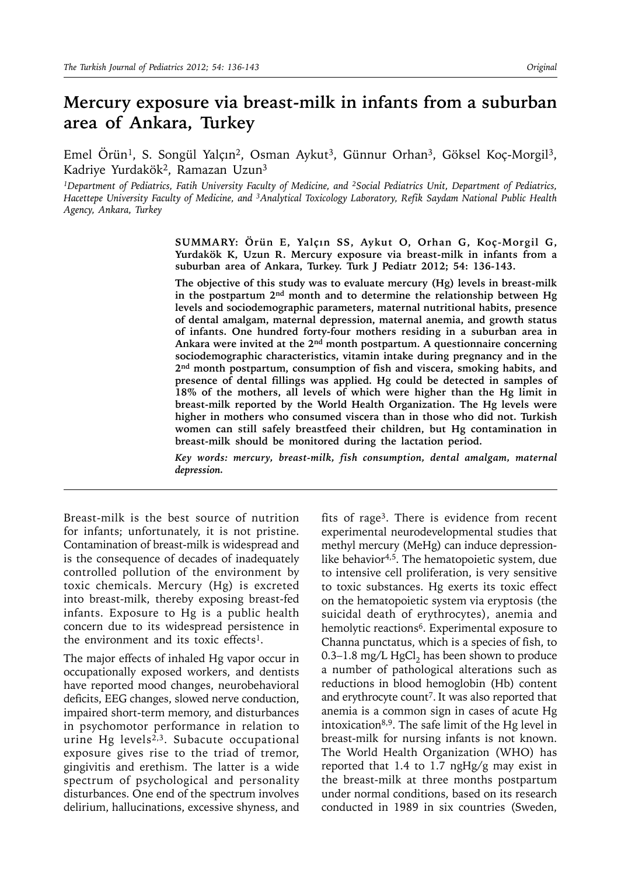# **Mercury exposure via breast-milk in infants from a suburban area of Ankara, Turkey**

Emel Örün<sup>1</sup>, S. Songül Yalçın<sup>2</sup>, Osman Aykut<sup>3</sup>, Günnur Orhan<sup>3</sup>, Göksel Koç-Morgil<sup>3</sup>, Kadriye Yurdakök2, Ramazan Uzun3

*1Department of Pediatrics, Fatih University Faculty of Medicine, and 2Social Pediatrics Unit, Department of Pediatrics, Hacettepe University Faculty of Medicine, and 3Analytical Toxicology Laboratory, Refik Saydam National Public Health Agency, Ankara, Turkey*

> **SUMMARY: Örün E, Yalçın SS, Aykut O, Orhan G, Koç-Morgil G, Yurdakök K, Uzun R. Mercury exposure via breast-milk in infants from a suburban area of Ankara, Turkey. Turk J Pediatr 2012; 54: 136-143.**

> **The objective of this study was to evaluate mercury (Hg) levels in breast-milk in the postpartum 2nd month and to determine the relationship between Hg levels and sociodemographic parameters, maternal nutritional habits, presence of dental amalgam, maternal depression, maternal anemia, and growth status of infants. One hundred forty-four mothers residing in a suburban area in Ankara were invited at the 2nd month postpartum. A questionnaire concerning sociodemographic characteristics, vitamin intake during pregnancy and in the 2nd month postpartum, consumption of fish and viscera, smoking habits, and presence of dental fillings was applied. Hg could be detected in samples of 18% of the mothers, all levels of which were higher than the Hg limit in breast-milk reported by the World Health Organization. The Hg levels were higher in mothers who consumed viscera than in those who did not. Turkish women can still safely breastfeed their children, but Hg contamination in breast-milk should be monitored during the lactation period.**

> *Key words: mercury, breast-milk, fish consumption, dental amalgam, maternal depression.*

Breast-milk is the best source of nutrition for infants; unfortunately, it is not pristine. Contamination of breast-milk is widespread and is the consequence of decades of inadequately controlled pollution of the environment by toxic chemicals. Mercury (Hg) is excreted into breast-milk, thereby exposing breast-fed infants. Exposure to Hg is a public health concern due to its widespread persistence in the environment and its toxic effects<sup>1</sup>.

The major effects of inhaled Hg vapor occur in occupationally exposed workers, and dentists have reported mood changes, neurobehavioral deficits, EEG changes, slowed nerve conduction, impaired short-term memory, and disturbances in psychomotor performance in relation to urine Hg levels<sup>2,3</sup>. Subacute occupational exposure gives rise to the triad of tremor, gingivitis and erethism. The latter is a wide spectrum of psychological and personality disturbances. One end of the spectrum involves delirium, hallucinations, excessive shyness, and

fits of rage<sup>3</sup>. There is evidence from recent experimental neurodevelopmental studies that methyl mercury (MeHg) can induce depressionlike behavior<sup>4,5</sup>. The hematopoietic system, due to intensive cell proliferation, is very sensitive to toxic substances. Hg exerts its toxic effect on the hematopoietic system via eryptosis (the suicidal death of erythrocytes), anemia and hemolytic reactions<sup>6</sup>. Experimental exposure to Channa punctatus, which is a species of fish, to 0.3–1.8 mg/L HgCl<sub>2</sub> has been shown to produce a number of pathological alterations such as reductions in blood hemoglobin (Hb) content and erythrocyte count<sup>7</sup>. It was also reported that anemia is a common sign in cases of acute Hg intoxication8,9. The safe limit of the Hg level in breast-milk for nursing infants is not known. The World Health Organization (WHO) has reported that 1.4 to 1.7 ngHg/g may exist in the breast-milk at three months postpartum under normal conditions, based on its research conducted in 1989 in six countries (Sweden,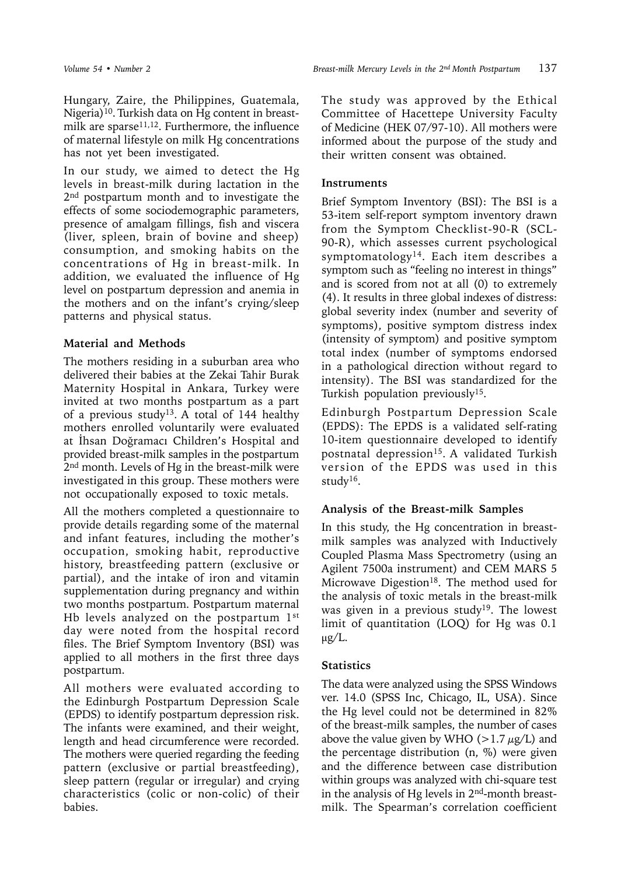Hungary, Zaire, the Philippines, Guatemala, Nigeria)<sup>10</sup>. Turkish data on Hg content in breastmilk are sparse<sup>11,12</sup>. Furthermore, the influence of maternal lifestyle on milk Hg concentrations has not yet been investigated.

In our study, we aimed to detect the Hg levels in breast-milk during lactation in the 2<sup>nd</sup> postpartum month and to investigate the effects of some sociodemographic parameters, presence of amalgam fillings, fish and viscera (liver, spleen, brain of bovine and sheep) consumption, and smoking habits on the concentrations of Hg in breast-milk. In addition, we evaluated the influence of Hg level on postpartum depression and anemia in the mothers and on the infant's crying/sleep patterns and physical status.

#### **Material and Methods**

The mothers residing in a suburban area who delivered their babies at the Zekai Tahir Burak Maternity Hospital in Ankara, Turkey were invited at two months postpartum as a part of a previous study<sup>13</sup>. A total of 144 healthy mothers enrolled voluntarily were evaluated at İhsan Doğramacı Children's Hospital and provided breast-milk samples in the postpartum 2<sup>nd</sup> month. Levels of Hg in the breast-milk were investigated in this group. These mothers were not occupationally exposed to toxic metals.

All the mothers completed a questionnaire to provide details regarding some of the maternal and infant features, including the mother's occupation, smoking habit, reproductive history, breastfeeding pattern (exclusive or partial), and the intake of iron and vitamin supplementation during pregnancy and within two months postpartum. Postpartum maternal Hb levels analyzed on the postpartum 1st day were noted from the hospital record files. The Brief Symptom Inventory (BSI) was applied to all mothers in the first three days postpartum.

All mothers were evaluated according to the Edinburgh Postpartum Depression Scale (EPDS) to identify postpartum depression risk. The infants were examined, and their weight, length and head circumference were recorded. The mothers were queried regarding the feeding pattern (exclusive or partial breastfeeding), sleep pattern (regular or irregular) and crying characteristics (colic or non-colic) of their babies.

The study was approved by the Ethical Committee of Hacettepe University Faculty of Medicine (HEK 07/97-10). All mothers were informed about the purpose of the study and their written consent was obtained.

### **Instruments**

Brief Symptom Inventory (BSI): The BSI is a 53-item self-report symptom inventory drawn from the Symptom Checklist-90-R (SCL-90-R), which assesses current psychological symptomatology<sup>14</sup>. Each item describes a symptom such as "feeling no interest in things" and is scored from not at all (0) to extremely (4). It results in three global indexes of distress: global severity index (number and severity of symptoms), positive symptom distress index (intensity of symptom) and positive symptom total index (number of symptoms endorsed in a pathological direction without regard to intensity). The BSI was standardized for the Turkish population previously<sup>15</sup>.

Edinburgh Postpartum Depression Scale (EPDS): The EPDS is a validated self-rating 10-item questionnaire developed to identify postnatal depression<sup>15</sup>. A validated Turkish version of the EPDS was used in this study16.

# **Analysis of the Breast-milk Samples**

In this study, the Hg concentration in breastmilk samples was analyzed with Inductively Coupled Plasma Mass Spectrometry (using an Agilent 7500a instrument) and CEM MARS 5 Microwave Digestion<sup>18</sup>. The method used for the analysis of toxic metals in the breast-milk was given in a previous study<sup>19</sup>. The lowest limit of quantitation (LOQ) for Hg was 0.1  $\mu$ g/L.

# **Statistics**

The data were analyzed using the SPSS Windows ver. 14.0 (SPSS Inc, Chicago, IL, USA). Since the Hg level could not be determined in 82% of the breast-milk samples, the number of cases above the value given by WHO ( $>1.7 \mu g/L$ ) and the percentage distribution (n, %) were given and the difference between case distribution within groups was analyzed with chi-square test in the analysis of Hg levels in 2nd-month breastmilk. The Spearman's correlation coefficient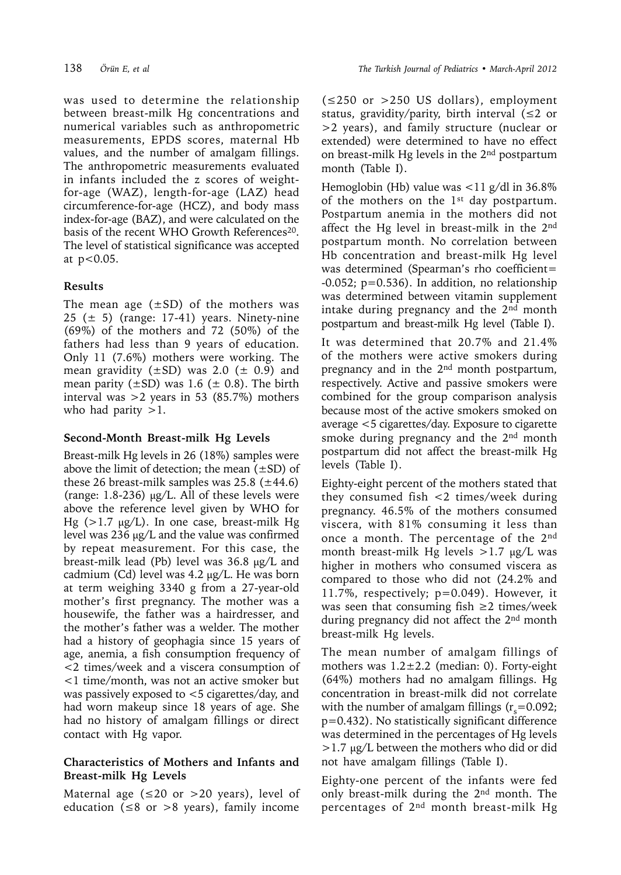was used to determine the relationship between breast-milk Hg concentrations and numerical variables such as anthropometric measurements, EPDS scores, maternal Hb values, and the number of amalgam fillings. The anthropometric measurements evaluated in infants included the z scores of weightfor-age (WAZ), length-for-age (LAZ) head circumference-for-age (HCZ), and body mass index-for-age (BAZ), and were calculated on the basis of the recent WHO Growth References<sup>20</sup>. The level of statistical significance was accepted at p<0.05.

# **Results**

The mean age  $(\pm SD)$  of the mothers was 25 ( $\pm$  5) (range: 17-41) years. Ninety-nine (69%) of the mothers and 72 (50%) of the fathers had less than 9 years of education. Only 11 (7.6%) mothers were working. The mean gravidity  $(\pm SD)$  was 2.0 ( $\pm$  0.9) and mean parity  $(\pm SD)$  was 1.6 ( $\pm$  0.8). The birth interval was >2 years in 53 (85.7%) mothers who had parity  $>1$ .

# **Second-Month Breast-milk Hg Levels**

Breast-milk Hg levels in 26 (18%) samples were above the limit of detection; the mean  $(\pm SD)$  of these 26 breast-milk samples was  $25.8$  ( $\pm$ 44.6) (range: 1.8-236)  $\mu$ g/L. All of these levels were above the reference level given by WHO for Hg  $(>1.7 \mu g/L)$ . In one case, breast-milk Hg level was 236 µg/L and the value was confirmed by repeat measurement. For this case, the breast-milk lead (Pb) level was 36.8 µg/L and cadmium (Cd) level was 4.2 µg/L. He was born at term weighing 3340 g from a 27-year-old mother's first pregnancy. The mother was a housewife, the father was a hairdresser, and the mother's father was a welder. The mother had a history of geophagia since 15 years of age, anemia, a fish consumption frequency of <2 times/week and a viscera consumption of <1 time/month, was not an active smoker but was passively exposed to <5 cigarettes/day, and had worn makeup since 18 years of age. She had no history of amalgam fillings or direct contact with Hg vapor.

#### **Characteristics of Mothers and Infants and Breast-milk Hg Levels**

Maternal age ( $\leq 20$  or >20 years), level of education ( $\leq 8$  or  $> 8$  years), family income

 $(\leq 250$  or  $> 250$  US dollars), employment status, gravidity/parity, birth interval ( $\leq 2$  or >2 years), and family structure (nuclear or extended) were determined to have no effect on breast-milk Hg levels in the 2nd postpartum month (Table I).

Hemoglobin (Hb) value was <11 g/dl in 36.8% of the mothers on the  $1<sup>st</sup>$  day postpartum. Postpartum anemia in the mothers did not affect the Hg level in breast-milk in the 2nd postpartum month. No correlation between Hb concentration and breast-milk Hg level was determined (Spearman's rho coefficient=  $-0.052$ ;  $p=0.536$ ). In addition, no relationship was determined between vitamin supplement intake during pregnancy and the 2<sup>nd</sup> month postpartum and breast-milk Hg level (Table I).

It was determined that 20.7% and 21.4% of the mothers were active smokers during pregnancy and in the 2<sup>nd</sup> month postpartum, respectively. Active and passive smokers were combined for the group comparison analysis because most of the active smokers smoked on average <5 cigarettes/day. Exposure to cigarette smoke during pregnancy and the 2<sup>nd</sup> month postpartum did not affect the breast-milk Hg levels (Table I).

Eighty-eight percent of the mothers stated that they consumed fish  $\langle 2 \rangle$  times/week during pregnancy. 46.5% of the mothers consumed viscera, with 81% consuming it less than once a month. The percentage of the 2nd month breast-milk Hg levels  $>1.7 \mu g/L$  was higher in mothers who consumed viscera as compared to those who did not (24.2% and 11.7%, respectively; p=0.049). However, it was seen that consuming fish  $\geq 2$  times/week during pregnancy did not affect the 2<sup>nd</sup> month breast-milk Hg levels.

The mean number of amalgam fillings of mothers was  $1.2 \pm 2.2$  (median: 0). Forty-eight (64%) mothers had no amalgam fillings. Hg concentration in breast-milk did not correlate with the number of amalgam fillings  $(r_s=0.092;$ p=0.432). No statistically significant difference was determined in the percentages of Hg levels >1.7 µg/L between the mothers who did or did not have amalgam fillings (Table I).

Eighty-one percent of the infants were fed only breast-milk during the 2nd month. The percentages of  $2<sup>nd</sup>$  month breast-milk Hg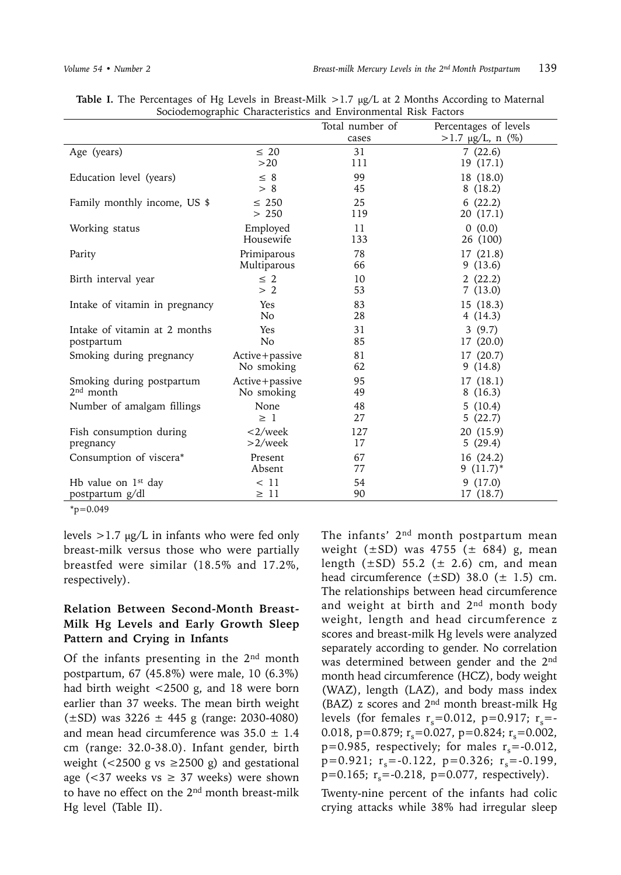|                                |                       | Total number of<br>cases | Percentages of levels<br>$>1.7 \mu g/L$ , n (%) |
|--------------------------------|-----------------------|--------------------------|-------------------------------------------------|
| Age (years)                    | $\leq 20$             | 31                       | 7(22.6)                                         |
|                                | >20                   | 111                      | 19 (17.1)                                       |
| Education level (years)        | $\leq 8$              | 99                       | 18 (18.0)                                       |
|                                | > 8                   | 45                       | 8(18.2)                                         |
| Family monthly income, US \$   | $\leq$ 250            | 25                       | 6(22.2)                                         |
|                                | > 250                 | 119                      | 20 (17.1)                                       |
| Working status                 | Employed<br>Housewife | 11<br>133                | (0.0)<br>0<br>26 (100)                          |
| Parity                         | Primiparous           | 78                       | 17(21.8)                                        |
|                                | Multiparous           | 66                       | 9(13.6)                                         |
| Birth interval year            | $\leq 2$              | 10                       | 2(22.2)                                         |
|                                | > 2                   | 53                       | 7(13.0)                                         |
| Intake of vitamin in pregnancy | Yes                   | 83                       | 15(18.3)                                        |
|                                | N <sub>o</sub>        | 28                       | 4(14.3)                                         |
| Intake of vitamin at 2 months  | Yes                   | 31                       | 3(9.7)                                          |
| postpartum                     | N <sub>o</sub>        | 85                       | 17 (20.0)                                       |
| Smoking during pregnancy       | Active+passive        | 81                       | 17(20.7)                                        |
|                                | No smoking            | 62                       | 9(14.8)                                         |
| Smoking during postpartum      | Active+passive        | 95                       | 17 (18.1)                                       |
| $2nd$ month                    | No smoking            | 49                       | 8(16.3)                                         |
| Number of amalgam fillings     | None                  | 48                       | 5(10.4)                                         |
|                                | $\geq 1$              | 27                       | 5(22.7)                                         |
| Fish consumption during        | $\langle 2/week$      | 127                      | 20 (15.9)                                       |
| pregnancy                      | $>2$ /week            | 17                       | 5(29.4)                                         |
| Consumption of viscera*        | Present               | 67                       | 16 (24.2)                                       |
|                                | Absent                | 77                       | 9 $(11.7)^*$                                    |
| Hb value on $1st$ day          | < 11                  | 54                       | 9(17.0)                                         |
| postpartum g/dl                | $\geq 11$             | 90                       | 17 (18.7)                                       |

Table I. The Percentages of Hg Levels in Breast-Milk >1.7 µg/L at 2 Months According to Maternal Sociodemographic Characteristics and Environmental Risk Factors

 $*_{p=0.049}$ 

levels  $>1.7 \mu g/L$  in infants who were fed only breast-milk versus those who were partially breastfed were similar (18.5% and 17.2%, respectively).

#### **Relation Between Second-Month Breast-Milk Hg Levels and Early Growth Sleep Pattern and Crying in Infants**

Of the infants presenting in the  $2<sup>nd</sup>$  month postpartum, 67 (45.8%) were male, 10 (6.3%) had birth weight <2500 g, and 18 were born earlier than 37 weeks. The mean birth weight  $(\pm SD)$  was 3226  $\pm$  445 g (range: 2030-4080) and mean head circumference was  $35.0 \pm 1.4$ cm (range: 32.0-38.0). Infant gender, birth weight (<2500 g vs  $\geq$ 2500 g) and gestational age (<37 weeks vs  $\geq$  37 weeks) were shown to have no effect on the 2nd month breast-milk Hg level (Table II).

The infants' 2<sup>nd</sup> month postpartum mean weight ( $\pm$ SD) was 4755 ( $\pm$  684) g, mean length  $(\pm SD)$  55.2 ( $\pm$  2.6) cm, and mean head circumference  $(\pm SD)$  38.0  $(\pm 1.5)$  cm. The relationships between head circumference and weight at birth and 2nd month body weight, length and head circumference z scores and breast-milk Hg levels were analyzed separately according to gender. No correlation was determined between gender and the 2nd month head circumference (HCZ), body weight (WAZ), length (LAZ), and body mass index (BAZ) z scores and 2nd month breast-milk Hg levels (for females  $r_s$ =0.012, p=0.917;  $r_s$ =-0.018, p=0.879;  $r_s$ =0.027, p=0.824;  $r_s$ =0.002,  $p=0.985$ , respectively; for males  $r_s = -0.012$ ,  $p=0.921$ ;  $r_s=-0.122$ ,  $p=0.326$ ;  $r_s=-0.199$ ,  $p=0.165$ ;  $r_s = -0.218$ ,  $p=0.077$ , respectively).

Twenty-nine percent of the infants had colic crying attacks while 38% had irregular sleep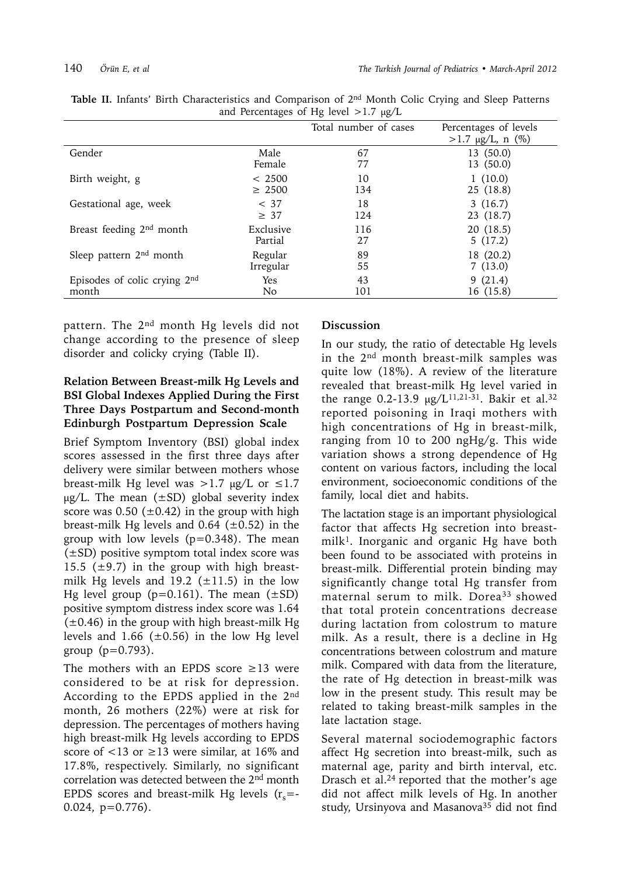|                                      |             | Total number of cases | Percentages of levels<br>$>1.7 \mu g/L$ , n (%) |
|--------------------------------------|-------------|-----------------------|-------------------------------------------------|
| Gender                               | Male        | 67                    | 13(50.0)                                        |
|                                      | Female      | 77                    | 13(50.0)                                        |
| Birth weight, g                      | < 2500      | 10                    | 1(10.0)                                         |
|                                      | $\geq 2500$ | 134                   | 25 (18.8)                                       |
| Gestational age, week                | < 37        | 18                    | 3(16.7)                                         |
|                                      | $\geq 37$   | 124                   | 23 (18.7)                                       |
| Breast feeding 2 <sup>nd</sup> month | Exclusive   | 116                   | 20(18.5)                                        |
|                                      | Partial     | 27                    | 5(17.2)                                         |
| Sleep pattern $2nd$ month            | Regular     | 89                    | 18 (20.2)                                       |
|                                      | Irregular   | 55                    | 7(13.0)                                         |
| Episodes of colic crying $2nd$       | Yes         | 43                    | 9(21.4)                                         |
| month                                | No.         | 101                   | 16 (15.8)                                       |

**Table II.** Infants' Birth Characteristics and Comparison of 2nd Month Colic Crying and Sleep Patterns and Percentages of Hg level  $>1.7 \mu g/L$ 

pattern. The 2<sup>nd</sup> month Hg levels did not change according to the presence of sleep disorder and colicky crying (Table II).

# **Relation Between Breast-milk Hg Levels and BSI Global Indexes Applied During the First Three Days Postpartum and Second-month Edinburgh Postpartum Depression Scale**

Brief Symptom Inventory (BSI) global index scores assessed in the first three days after delivery were similar between mothers whose breast-milk Hg level was >1.7  $\mu$ g/L or  $\leq$ 1.7  $\mu$ g/L. The mean ( $\pm$ SD) global severity index score was  $0.50$  ( $\pm 0.42$ ) in the group with high breast-milk Hg levels and 0.64 ( $\pm$ 0.52) in the group with low levels  $(p=0.348)$ . The mean  $(\pm SD)$  positive symptom total index score was 15.5 ( $\pm$ 9.7) in the group with high breastmilk Hg levels and 19.2 ( $\pm$ 11.5) in the low Hg level group ( $p=0.161$ ). The mean ( $\pm SD$ ) positive symptom distress index score was 1.64  $(\pm 0.46)$  in the group with high breast-milk Hg levels and 1.66  $(\pm 0.56)$  in the low Hg level group  $(p=0.793)$ .

The mothers with an EPDS score  $\geq$ 13 were considered to be at risk for depression. According to the EPDS applied in the 2<sup>nd</sup> month, 26 mothers (22%) were at risk for depression. The percentages of mothers having high breast-milk Hg levels according to EPDS score of  $\langle 13 \text{ or } \geq 13$  were similar, at 16% and 17.8%, respectively. Similarly, no significant correlation was detected between the 2<sup>nd</sup> month EPDS scores and breast-milk Hg levels  $(r_s = -1)$ 0.024, p=0.776).

#### **Discussion**

In our study, the ratio of detectable Hg levels in the 2nd month breast-milk samples was quite low (18%). A review of the literature revealed that breast-milk Hg level varied in the range 0.2-13.9  $\mu$ g/L<sup>11,21-31</sup>. Bakir et al.<sup>32</sup> reported poisoning in Iraqi mothers with high concentrations of Hg in breast-milk, ranging from 10 to 200 ngHg/g. This wide variation shows a strong dependence of Hg content on various factors, including the local environment, socioeconomic conditions of the family, local diet and habits.

The lactation stage is an important physiological factor that affects Hg secretion into breast $milk<sup>1</sup>$ . Inorganic and organic Hg have both been found to be associated with proteins in breast-milk. Differential protein binding may significantly change total Hg transfer from maternal serum to milk. Dorea<sup>33</sup> showed that total protein concentrations decrease during lactation from colostrum to mature milk. As a result, there is a decline in Hg concentrations between colostrum and mature milk. Compared with data from the literature, the rate of Hg detection in breast-milk was low in the present study. This result may be related to taking breast-milk samples in the late lactation stage.

Several maternal sociodemographic factors affect Hg secretion into breast-milk, such as maternal age, parity and birth interval, etc. Drasch et al.24 reported that the mother's age did not affect milk levels of Hg. In another study, Ursinyova and Masanova<sup>35</sup> did not find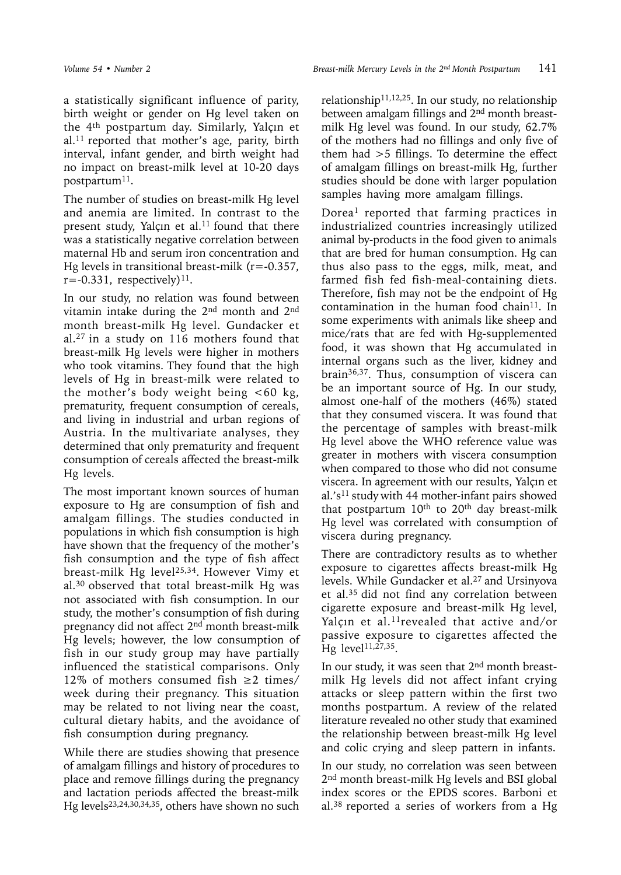a statistically significant influence of parity, birth weight or gender on Hg level taken on the 4th postpartum day. Similarly, Yalçın et  $al.$ <sup>11</sup> reported that mother's age, parity, birth interval, infant gender, and birth weight had no impact on breast-milk level at 10-20 days postpartum<sup>11</sup>.

The number of studies on breast-milk Hg level and anemia are limited. In contrast to the present study, Yalçın et al. $11$  found that there was a statistically negative correlation between maternal Hb and serum iron concentration and Hg levels in transitional breast-milk  $(r = -0.357)$ ,  $r=-0.331$ , respectively)<sup>11</sup>.

In our study, no relation was found between vitamin intake during the 2nd month and 2nd month breast-milk Hg level. Gundacker et al.27 in a study on 116 mothers found that breast-milk Hg levels were higher in mothers who took vitamins. They found that the high levels of Hg in breast-milk were related to the mother's body weight being  $<60$  kg, prematurity, frequent consumption of cereals, and living in industrial and urban regions of Austria. In the multivariate analyses, they determined that only prematurity and frequent consumption of cereals affected the breast-milk Hg levels.

The most important known sources of human exposure to Hg are consumption of fish and amalgam fillings. The studies conducted in populations in which fish consumption is high have shown that the frequency of the mother's fish consumption and the type of fish affect breast-milk Hg level<sup>25,34</sup>. However Vimy et al.30 observed that total breast-milk Hg was not associated with fish consumption. In our study, the mother's consumption of fish during pregnancy did not affect 2nd month breast-milk Hg levels; however, the low consumption of fish in our study group may have partially influenced the statistical comparisons. Only 12% of mothers consumed fish  $\geq$  1 times/ week during their pregnancy. This situation may be related to not living near the coast, cultural dietary habits, and the avoidance of fish consumption during pregnancy.

While there are studies showing that presence of amalgam fillings and history of procedures to place and remove fillings during the pregnancy and lactation periods affected the breast-milk Hg levels<sup>23,24,30,34,35</sup>, others have shown no such

relationship11,12,25. In our study, no relationship between amalgam fillings and 2nd month breastmilk Hg level was found. In our study, 62.7% of the mothers had no fillings and only five of them had >5 fillings. To determine the effect of amalgam fillings on breast-milk Hg, further studies should be done with larger population samples having more amalgam fillings.

Dorea1 reported that farming practices in industrialized countries increasingly utilized animal by-products in the food given to animals that are bred for human consumption. Hg can thus also pass to the eggs, milk, meat, and farmed fish fed fish-meal-containing diets. Therefore, fish may not be the endpoint of Hg contamination in the human food chain<sup>11</sup>. In some experiments with animals like sheep and mice/rats that are fed with Hg-supplemented food, it was shown that Hg accumulated in internal organs such as the liver, kidney and brain36,37. Thus, consumption of viscera can be an important source of Hg. In our study, almost one-half of the mothers (46%) stated that they consumed viscera. It was found that the percentage of samples with breast-milk Hg level above the WHO reference value was greater in mothers with viscera consumption when compared to those who did not consume viscera. In agreement with our results, Yalçın et al.'s<sup>11</sup> study with 44 mother-infant pairs showed that postpartum  $10<sup>th</sup>$  to  $20<sup>th</sup>$  day breast-milk Hg level was correlated with consumption of viscera during pregnancy.

There are contradictory results as to whether exposure to cigarettes affects breast-milk Hg levels. While Gundacker et al.<sup>27</sup> and Ursinyova et al.35 did not find any correlation between cigarette exposure and breast-milk Hg level, Yalçın et al.<sup>11</sup> revealed that active and/or passive exposure to cigarettes affected the Hg level<sup>11,27,35</sup>.

In our study, it was seen that 2nd month breastmilk Hg levels did not affect infant crying attacks or sleep pattern within the first two months postpartum. A review of the related literature revealed no other study that examined the relationship between breast-milk Hg level and colic crying and sleep pattern in infants.

In our study, no correlation was seen between 2<sup>nd</sup> month breast-milk Hg levels and BSI global index scores or the EPDS scores. Barboni et al.38 reported a series of workers from a Hg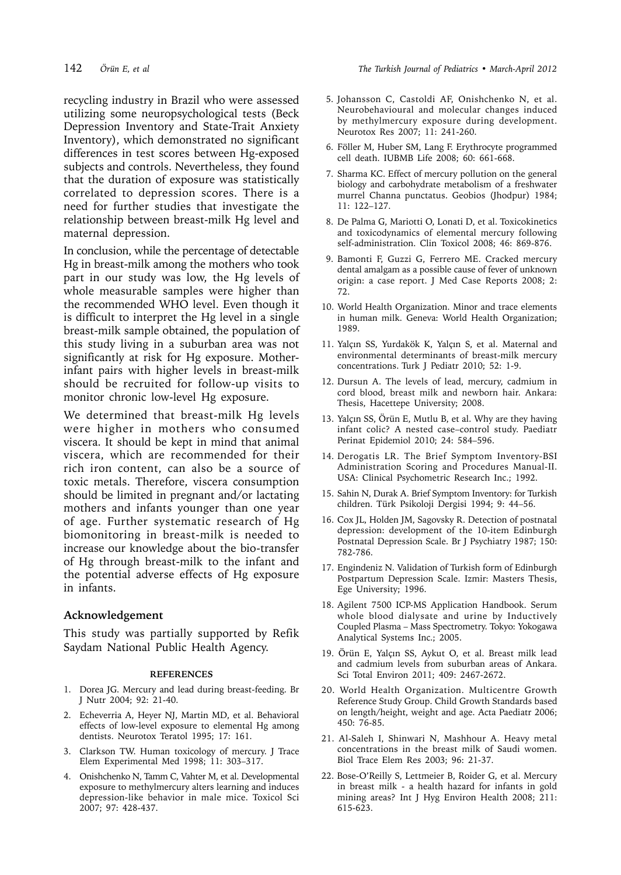maternal depression.

recycling industry in Brazil who were assessed utilizing some neuropsychological tests (Beck Depression Inventory and State-Trait Anxiety Inventory), which demonstrated no significant differences in test scores between Hg-exposed subjects and controls. Nevertheless, they found that the duration of exposure was statistically correlated to depression scores. There is a need for further studies that investigate the relationship between breast-milk Hg level and

In conclusion, while the percentage of detectable Hg in breast-milk among the mothers who took part in our study was low, the Hg levels of whole measurable samples were higher than the recommended WHO level. Even though it is difficult to interpret the Hg level in a single breast-milk sample obtained, the population of this study living in a suburban area was not significantly at risk for Hg exposure. Motherinfant pairs with higher levels in breast-milk should be recruited for follow-up visits to monitor chronic low-level Hg exposure.

We determined that breast-milk Hg levels were higher in mothers who consumed viscera. It should be kept in mind that animal viscera, which are recommended for their rich iron content, can also be a source of toxic metals. Therefore, viscera consumption should be limited in pregnant and/or lactating mothers and infants younger than one year of age. Further systematic research of Hg biomonitoring in breast-milk is needed to increase our knowledge about the bio-transfer of Hg through breast-milk to the infant and the potential adverse effects of Hg exposure in infants.

#### **Acknowledgement**

This study was partially supported by Refik Saydam National Public Health Agency.

#### **REFERENCES**

- 1. Dorea JG. Mercury and lead during breast-feeding. Br J Nutr 2004; 92: 21-40.
- 2. Echeverria A, Heyer NJ, Martin MD, et al. Behavioral effects of low-level exposure to elemental Hg among dentists. Neurotox Teratol 1995; 17: 161.
- 3. Clarkson TW. Human toxicology of mercury. J Trace Elem Experimental Med 1998; 11: 303–317.
- 4. Onishchenko N, Tamm C, Vahter M, et al. Developmental exposure to methylmercury alters learning and induces depression-like behavior in male mice. Toxicol Sci 2007; 97: 428-437.
- 5. Johansson C, Castoldi AF, Onishchenko N, et al. Neurobehavioural and molecular changes induced by methylmercury exposure during development. Neurotox Res 2007; 11: 241-260.
- 6. Föller M, Huber SM, Lang F. Erythrocyte programmed cell death. IUBMB Life 2008; 60: 661-668.
- 7. Sharma KC. Effect of mercury pollution on the general biology and carbohydrate metabolism of a freshwater murrel Channa punctatus. Geobios (Jhodpur) 1984; 11: 122–127.
- 8. De Palma G, Mariotti O, Lonati D, et al. Toxicokinetics and toxicodynamics of elemental mercury following self-administration. Clin Toxicol 2008; 46: 869-876.
- 9. Bamonti F, Guzzi G, Ferrero ME. Cracked mercury dental amalgam as a possible cause of fever of unknown origin: a case report. J Med Case Reports 2008; 2: 72.
- 10. World Health Organization. Minor and trace elements in human milk. Geneva: World Health Organization; 1989.
- 11. Yalçın SS, Yurdakök K, Yalçın S, et al. Maternal and environmental determinants of breast-milk mercury concentrations. Turk J Pediatr 2010; 52: 1-9.
- 12. Dursun A. The levels of lead, mercury, cadmium in cord blood, breast milk and newborn hair. Ankara: Thesis, Hacettepe University; 2008.
- 13. Yalçın SS, Örün E, Mutlu B, et al. Why are they having infant colic? A nested case–control study. Paediatr Perinat Epidemiol 2010; 24: 584–596.
- 14. Derogatis LR. The Brief Symptom Inventory-BSI Administration Scoring and Procedures Manual-II. USA: Clinical Psychometric Research Inc.; 1992.
- 15. Sahin N, Durak A. Brief Symptom Inventory: for Turkish children. Türk Psikoloji Dergisi 1994; 9: 44–56.
- 16. Cox JL, Holden JM, Sagovsky R. Detection of postnatal depression: development of the 10-item Edinburgh Postnatal Depression Scale. Br J Psychiatry 1987; 150: 782-786.
- 17. Engindeniz N. Validation of Turkish form of Edinburgh Postpartum Depression Scale. Izmir: Masters Thesis, Ege University; 1996.
- 18. Agilent 7500 ICP-MS Application Handbook. Serum whole blood dialysate and urine by Inductively Coupled Plasma – Mass Spectrometry. Tokyo: Yokogawa Analytical Systems Inc.; 2005.
- 19. Örün E, Yalçın SS, Aykut O, et al. Breast milk lead and cadmium levels from suburban areas of Ankara. Sci Total Environ 2011; 409: 2467-2672.
- 20. World Health Organization. Multicentre Growth Reference Study Group. Child Growth Standards based on length/height, weight and age. Acta Paediatr 2006; 450: 76-85.
- 21. Al-Saleh I, Shinwari N, Mashhour A. Heavy metal concentrations in the breast milk of Saudi women. Biol Trace Elem Res 2003; 96: 21-37.
- 22. Bose-O'Reilly S, Lettmeier B, Roider G, et al. Mercury in breast milk - a health hazard for infants in gold mining areas? Int J Hyg Environ Health 2008; 211: 615-623.